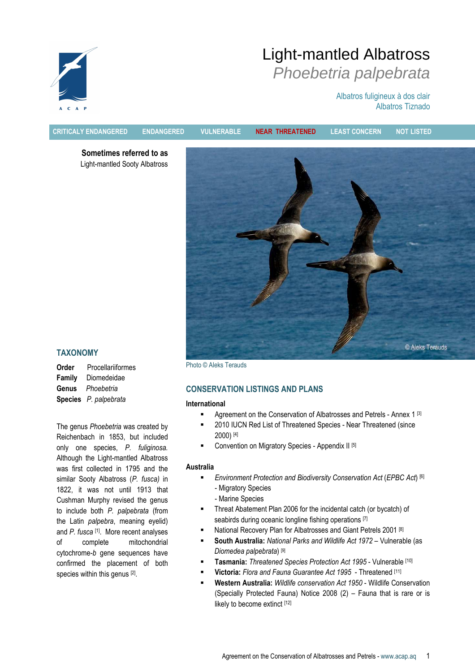

Albatros fuligineux à dos clair Albatros Tiznado



CRITICALY ENDANGERED ENDANGERED VULNERABLE NEAR THREATENED LEAST CONCERN NOT LISTED

Sometimes referred to as Light-mantled Sooty Albatross



## TAXONOMY

| Order  | Procellariiformes     |
|--------|-----------------------|
| Family | Diomedeidae           |
| Genus  | Phoebetria            |
|        | Species P. palpebrata |

The genus Phoebetria was created by Reichenbach in 1853, but included only one species, P. fuliginosa. Although the Light-mantled Albatross was first collected in 1795 and the similar Sooty Albatross (P. fusca) in 1822, it was not until 1913 that Cushman Murphy revised the genus to include both P. palpebrata (from the Latin palpebra, meaning eyelid) and P. fusca [1]. More recent analyses of complete mitochondrial cytochrome-b gene sequences have confirmed the placement of both species within this genus [2].

Photo © Aleks Terauds

# CONSERVATION LISTINGS AND PLANS

#### International

- **Agreement on the Conservation of Albatrosses and Petrels Annex 1 [3]**
- 2010 IUCN Red List of Threatened Species Near Threatened (since 2000) [4]
- Convention on Migratory Species Appendix II [5]

## Australia

- **Environment Protection and Biodiversity Conservation Act (EPBC Act)** [6] - Migratory Species
	- Marine Species
- Threat Abatement Plan 2006 for the incidental catch (or bycatch) of seabirds during oceanic longline fishing operations [7]
- National Recovery Plan for Albatrosses and Giant Petrels 2001<sup>[8]</sup>
- South Australia: National Parks and Wildlife Act 1972 Vulnerable (as Diomedea palpebrata) [9]
- Tasmania: Threatened Species Protection Act 1995 Vulnerable [10]
- Victoria: Flora and Fauna Guarantee Act 1995 Threatened [11]
- Western Australia: Wildlife conservation Act 1950 Wildlife Conservation (Specially Protected Fauna) Notice 2008 (2) – Fauna that is rare or is likely to become extinct [12]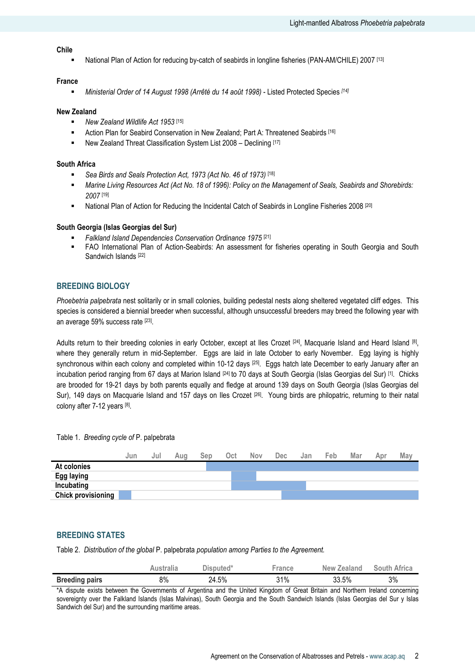#### Chile

National Plan of Action for reducing by-catch of seabirds in longline fisheries (PAN-AM/CHILE) 2007 [13]

#### France

Ministerial Order of 14 August 1998 (Arrêté du 14 août 1998) - Listed Protected Species [14]

#### New Zealand

- New Zealand Wildlife Act 1953 [15]
- Action Plan for Seabird Conservation in New Zealand; Part A: Threatened Seabirds [16]
- New Zealand Threat Classification System List 2008 Declining [17]

#### South Africa

- Sea Birds and Seals Protection Act, 1973 (Act No. 46 of 1973) [18]
- Marine Living Resources Act (Act No. 18 of 1996): Policy on the Management of Seals, Seabirds and Shorebirds: 2007 [19]
- **National Plan of Action for Reducing the Incidental Catch of Seabirds in Longline Fisheries 2008** [20]

#### South Georgia (Islas Georgias del Sur)

- Falkland Island Dependencies Conservation Ordinance 1975 [21]
- FAO International Plan of Action-Seabirds: An assessment for fisheries operating in South Georgia and South Sandwich Islands [22]

#### BREEDING BIOLOGY

Phoebetria palpebrata nest solitarily or in small colonies, building pedestal nests along sheltered vegetated cliff edges. This species is considered a biennial breeder when successful, although unsuccessful breeders may breed the following year with an average 59% success rate [23].

Adults return to their breeding colonies in early October, except at lles Crozet <sup>[24]</sup>, Macquarie Island and Heard Island [8], where they generally return in mid-September. Eggs are laid in late October to early November. Egg laying is highly synchronous within each colony and completed within 10-12 days [25]. Eggs hatch late December to early January after an incubation period ranging from 67 days at Marion Island <sup>[24]</sup> to 70 days at South Georgia (Islas Georgias del Sur) <sup>[1]</sup>. Chicks are brooded for 19-21 days by both parents equally and fledge at around 139 days on South Georgia (Islas Georgias del Sur), 149 days on Macquarie Island and 157 days on Iles Crozet <sup>[26]</sup>. Young birds are philopatric, returning to their natal colony after 7-12 years [8].

Table 1. Breeding cycle of P. palpebrata



#### BREEDING STATES

Table 2. Distribution of the global P. palpebrata population among Parties to the Agreement.

|                       | Australia | Disputed* | <b>France</b> | New Zealand | <b>South Africa</b> |
|-----------------------|-----------|-----------|---------------|-------------|---------------------|
| <b>Breeding pairs</b> | 8%        | 24.5%     | 31%           | 33.5%       | 3%                  |

\*A dispute exists between the Governments of Argentina and the United Kingdom of Great Britain and Northern Ireland concerning sovereignty over the Falkland Islands (Islas Malvinas), South Georgia and the South Sandwich Islands (Islas Georgias del Sur y Islas Sandwich del Sur) and the surrounding maritime areas.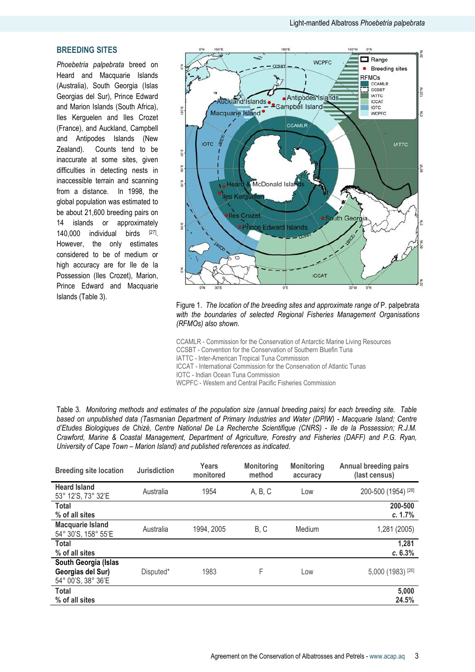# BREEDING SITES

Phoebetria palpebrata breed on Heard and Macquarie Islands (Australia), South Georgia (Islas Georgias del Sur), Prince Edward and Marion Islands (South Africa), Iles Kerguelen and Iles Crozet (France), and Auckland, Campbell and Antipodes Islands (New Zealand). Counts tend to be inaccurate at some sites, given difficulties in detecting nests in inaccessible terrain and scanning from a distance. In 1998, the global population was estimated to be about 21,600 breeding pairs on 14 islands or approximately 140,000 individual birds  $[27]$ However, the only estimates considered to be of medium or high accuracy are for Ile de la Possession (Iles Crozet), Marion, Prince Edward and Macquarie Islands (Table 3).



Figure 1. The location of the breeding sites and approximate range of P. palpebrata with the boundaries of selected Regional Fisheries Management Organisations (RFMOs) also shown.

CCAMLR - Commission for the Conservation of Antarctic Marine Living Resources CCSBT - Convention for the Conservation of Southern Bluefin Tuna IATTC - Inter-American Tropical Tuna Commission ICCAT - International Commission for the Conservation of Atlantic Tunas IOTC - Indian Ocean Tuna Commission WCPFC - Western and Central Pacific Fisheries Commission

Table 3. Monitoring methods and estimates of the population size (annual breeding pairs) for each breeding site. Table based on unpublished data (Tasmanian Department of Primary Industries and Water (DPIW) - Macquarie Island; Centre d'Etudes Biologiques de Chizé, Centre National De La Recherche Scientifique (CNRS) - Ile de la Possession; R.J.M. Crawford, Marine & Coastal Management, Department of Agriculture, Forestry and Fisheries (DAFF) and P.G. Ryan, University of Cape Town – Marion Island) and published references as indicated.

| <b>Breeding site location</b>                                   | <b>Jurisdiction</b> | Years<br>monitored | <b>Monitoring</b><br>method | <b>Monitoring</b><br>accuracy | <b>Annual breeding pairs</b><br>(last census) |
|-----------------------------------------------------------------|---------------------|--------------------|-----------------------------|-------------------------------|-----------------------------------------------|
| <b>Heard Island</b><br>53° 12'S, 73° 32'E                       | Australia           | 1954               | A, B, C                     | Low                           | 200-500 (1954) [28]                           |
| <b>Total</b><br>% of all sites                                  |                     |                    |                             |                               | 200-500<br>c. 1.7%                            |
| <b>Macquarie Island</b><br>54° 30'S, 158° 55'E                  | Australia           | 1994, 2005         | B, C                        | Medium                        | 1,281 (2005)                                  |
| <b>Total</b><br>% of all sites                                  |                     |                    |                             |                               | 1,281<br>c.63%                                |
| South Georgia (Islas<br>Georgias del Sur)<br>54° 00'S, 38° 36'E | Disputed*           | 1983               | F                           | Low                           | 5,000 (1983) [26]                             |
| <b>Total</b><br>% of all sites                                  |                     |                    |                             |                               | 5,000<br>24.5%                                |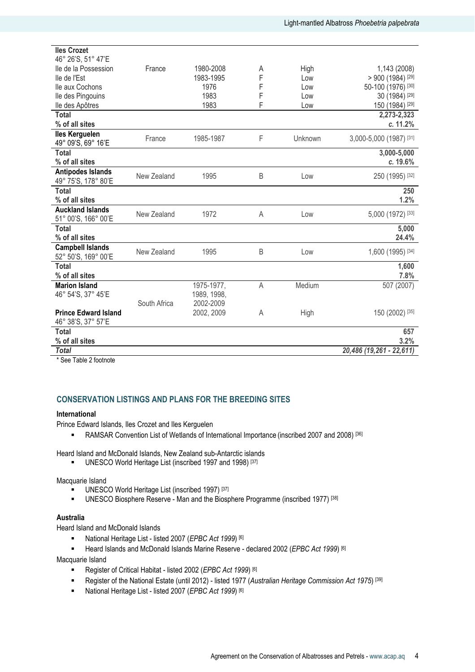| <b>Iles Crozet</b>                              |              |             |   |         |                          |
|-------------------------------------------------|--------------|-------------|---|---------|--------------------------|
| 46° 26'S, 51° 47'E<br>lle de la Possession      | France       | 1980-2008   | A | High    | 1,143 (2008)             |
| lle de l'Est                                    |              | 1983-1995   | F | Low     | $> 900$ (1984) [29]      |
| Ile aux Cochons                                 |              | 1976        | F | Low     | 50-100 (1976) [30]       |
| lle des Pingouins                               |              | 1983        | F | Low     | 30 (1984) [29]           |
| lle des Apôtres                                 |              | 1983        | F | Low     | 150 (1984) [29]          |
| <b>Total</b>                                    |              |             |   |         | 2,273-2,323              |
| % of all sites                                  |              |             |   |         | c. 11.2%                 |
| <b>Iles Kerguelen</b>                           | France       | 1985-1987   | F | Unknown | 3,000-5,000 (1987) [31]  |
| 49° 09'S, 69° 16'E                              |              |             |   |         |                          |
| <b>Total</b>                                    |              |             |   |         | 3,000-5,000              |
| % of all sites                                  |              |             |   |         | c. 19.6%                 |
| <b>Antipodes Islands</b><br>49° 75'S, 178° 80'E | New Zealand  | 1995        | B | Low     | 250 (1995) [32]          |
| <b>Total</b>                                    |              |             |   |         | 250                      |
| % of all sites                                  |              |             |   |         | 1.2%                     |
| <b>Auckland Islands</b><br>51° 00'S, 166° 00'E  | New Zealand  | 1972        | A | Low     | 5,000 (1972) [33]        |
| <b>Total</b>                                    |              |             |   |         | 5,000                    |
| % of all sites                                  |              |             |   |         | 24.4%                    |
| <b>Campbell Islands</b><br>52° 50'S, 169° 00'E  | New Zealand  | 1995        | B | Low     | 1,600 (1995) [34]        |
| <b>Total</b>                                    |              |             |   |         | 1,600                    |
| % of all sites                                  |              |             |   |         | 7.8%                     |
| <b>Marion Island</b>                            |              | 1975-1977,  | A | Medium  | 507 (2007)               |
| 46° 54'S, 37° 45'E                              |              | 1989, 1998, |   |         |                          |
|                                                 | South Africa | 2002-2009   |   |         |                          |
| <b>Prince Edward Island</b>                     |              | 2002, 2009  | A | High    | 150 (2002) [35]          |
| 46° 38'S, 37° 57'E                              |              |             |   |         |                          |
| <b>Total</b>                                    |              |             |   |         | 657                      |
| % of all sites                                  |              |             |   |         | 3.2%                     |
| <b>Total</b>                                    |              |             |   |         | 20,486 (19,261 - 22,611) |

\* See Table 2 footnote

# CONSERVATION LISTINGS AND PLANS FOR THE BREEDING SITES

#### International

Prince Edward Islands, Iles Crozet and Iles Kerguelen

• RAMSAR Convention List of Wetlands of International Importance (inscribed 2007 and 2008) [36]

Heard Island and McDonald Islands, New Zealand sub-Antarctic islands

UNESCO World Heritage List (inscribed 1997 and 1998) [37]

Macquarie Island

- UNESCO World Heritage List (inscribed 1997)<sup>[37]</sup>
- **UNESCO Biosphere Reserve Man and the Biosphere Programme (inscribed 1977)** [38]

## Australia

Heard Island and McDonald Islands

- National Heritage List listed 2007 (EPBC Act 1999) [6]
- Heard Islands and McDonald Islands Marine Reserve declared 2002 (EPBC Act 1999) [6]

Macquarie Island

- Register of Critical Habitat listed 2002 (EPBC Act 1999) [6]
- Register of the National Estate (until 2012) listed 1977 (Australian Heritage Commission Act 1975)<sup>[39]</sup>
- National Heritage List listed 2007 (EPBC Act 1999) [6]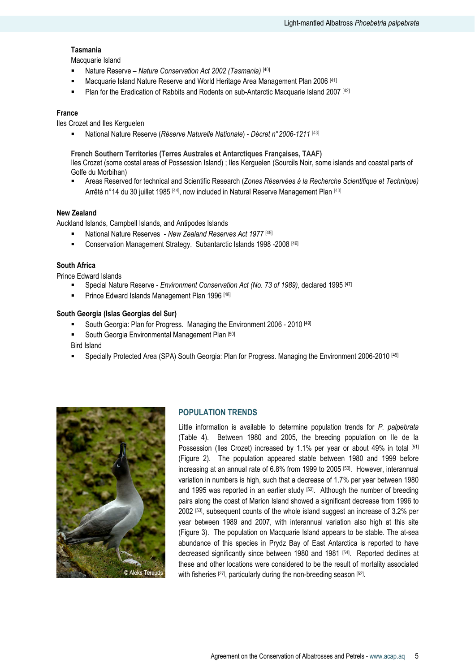# Tasmania

Macquarie Island

- Nature Reserve Nature Conservation Act 2002 (Tasmania) [40]
- Macquarie Island Nature Reserve and World Heritage Area Management Plan 2006<sup>[41]</sup>
- Plan for the Eradication of Rabbits and Rodents on sub-Antarctic Macquarie Island 2007 [42]

#### France

Iles Crozet and Iles Kerguelen

National Nature Reserve (Réserve Naturelle Nationale) - Décret n° 2006-1211<sup>[43]</sup>

#### French Southern Territories (Terres Australes et Antarctiques Françaises, TAAF)

Iles Crozet (some costal areas of Possession Island) ; Iles Kerguelen (Sourcils Noir, some islands and coastal parts of Golfe du Morbihan)

 Areas Reserved for technical and Scientific Research (Zones Réservées à la Recherche Scientifique et Technique) Arrêté n°14 du 30 juillet 1985 [44], now included in Natural Reserve Management Plan [43]

#### New Zealand

Auckland Islands, Campbell Islands, and Antipodes Islands

- National Nature Reserves New Zealand Reserves Act 1977<sup>[45]</sup>
- Conservation Management Strategy. Subantarctic Islands 1998 -2008 [46]

### South Africa

Prince Edward Islands

- Special Nature Reserve Environment Conservation Act (No. 73 of 1989), declared 1995 [47]
- Prince Edward Islands Management Plan 1996 [48]

### South Georgia (Islas Georgias del Sur)

- South Georgia: Plan for Progress. Managing the Environment 2006 2010 [49]
- South Georgia Environmental Management Plan [50]

Bird Island

Specially Protected Area (SPA) South Georgia: Plan for Progress. Managing the Environment 2006-2010 [49]



#### POPULATION TRENDS

Little information is available to determine population trends for P. palpebrata (Table 4). Between 1980 and 2005, the breeding population on Ile de la Possession (Iles Crozet) increased by 1.1% per year or about 49% in total [51] (Figure 2). The population appeared stable between 1980 and 1999 before increasing at an annual rate of 6.8% from 1999 to 2005 [50]. However, interannual variation in numbers is high, such that a decrease of 1.7% per year between 1980 and 1995 was reported in an earlier study  $[52]$ . Although the number of breeding pairs along the coast of Marion Island showed a significant decrease from 1996 to 2002 [53], subsequent counts of the whole island suggest an increase of 3.2% per year between 1989 and 2007, with interannual variation also high at this site (Figure 3). The population on Macquarie Island appears to be stable. The at-sea abundance of this species in Prydz Bay of East Antarctica is reported to have decreased significantly since between 1980 and 1981 [54]. Reported declines at these and other locations were considered to be the result of mortality associated with fisheries [27], particularly during the non-breeding season [52].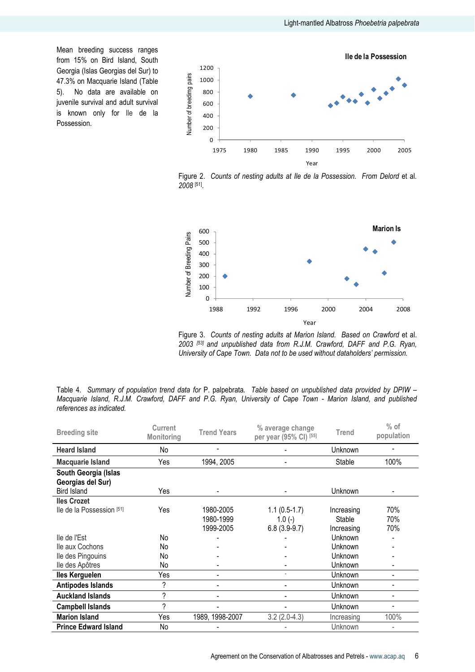Mean breeding success ranges from 15% on Bird Island, South Georgia (Islas Georgias del Sur) to 47.3% on Macquarie Island (Table 5). No data are available on juvenile survival and adult survival is known only for Ile de la Possession.



Figure 2. Counts of nesting adults at Ile de la Possession. From Delord et al. 2008 [51] .



Figure 3. Counts of nesting adults at Marion Island. Based on Crawford et al. 2003 [53] and unpublished data from R.J.M. Crawford, DAFF and P.G. Ryan, University of Cape Town. Data not to be used without dataholders' permission.

Table 4. Summary of population trend data for P. palpebrata. Table based on unpublished data provided by DPIW – Macquarie Island, R.J.M. Crawford, DAFF and P.G. Ryan, University of Cape Town - Marion Island, and published references as indicated.

| <b>Breeding site</b>                                            | Current<br><b>Monitoring</b> | <b>Trend Years</b> | % average change<br>per year (95% CI) [55] | <b>Trend</b>   | $%$ of<br>population |
|-----------------------------------------------------------------|------------------------------|--------------------|--------------------------------------------|----------------|----------------------|
| <b>Heard Island</b>                                             | No                           |                    |                                            | <b>Unknown</b> |                      |
| Macquarie Island                                                | Yes                          | 1994, 2005         |                                            | Stable         | 100%                 |
| South Georgia (Islas<br>Georgias del Sur)<br><b>Bird Island</b> | Yes                          |                    |                                            | <b>Unknown</b> |                      |
| <b>Iles Crozet</b>                                              |                              |                    |                                            |                |                      |
| lle de la Possession [51]                                       | Yes                          | 1980-2005          | $1.1(0.5-1.7)$                             | Increasing     | 70%                  |
|                                                                 |                              | 1980-1999          | $1.0(-)$                                   | Stable         | 70%                  |
|                                                                 |                              | 1999-2005          | $6.8(3.9-9.7)$                             | Increasing     | 70%                  |
| lle de l'Est                                                    | No                           |                    |                                            | Unknown        |                      |
| lle aux Cochons                                                 | No                           |                    |                                            | Unknown        |                      |
| lle des Pingouins                                               | No                           |                    |                                            | Unknown        |                      |
| lle des Apôtres                                                 | No                           |                    |                                            | Unknown        |                      |
| <b>Iles Kerguelen</b>                                           | Yes                          |                    |                                            | <b>Unknown</b> | $\blacksquare$       |
| <b>Antipodes Islands</b>                                        | ?                            |                    |                                            | Unknown        | $\blacksquare$       |
| <b>Auckland Islands</b>                                         | $\overline{\phantom{a}}$     |                    | ٠                                          | <b>Unknown</b> | $\blacksquare$       |
| <b>Campbell Islands</b>                                         | ?                            |                    |                                            | <b>Unknown</b> |                      |
| <b>Marion Island</b>                                            | Yes                          | 1989, 1998-2007    | $3.2(2.0-4.3)$                             | Increasing     | 100%                 |
| <b>Prince Edward Island</b>                                     | No                           |                    |                                            | Unknown        | ٠                    |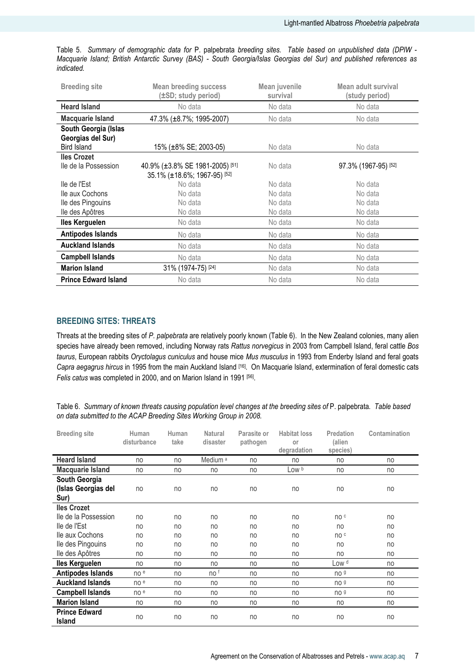| <b>Breeding site</b>                                     | <b>Mean breeding success</b><br>(±SD; study period)             | Mean juvenile<br>survival | Mean adult survival<br>(study period) |  |
|----------------------------------------------------------|-----------------------------------------------------------------|---------------------------|---------------------------------------|--|
| <b>Heard Island</b>                                      | No data                                                         | No data                   | No data                               |  |
| Macquarie Island                                         | 47.3% (±8.7%; 1995-2007)                                        | No data                   | No data                               |  |
| South Georgia (Islas<br>Georgias del Sur)<br>Bird Island | 15% (±8% SE; 2003-05)                                           | No data                   | No data                               |  |
| <b>Iles Crozet</b>                                       |                                                                 |                           |                                       |  |
| Ile de la Possession                                     | 40.9% (±3.8% SE 1981-2005) [51]<br>35.1% (±18.6%; 1967-95) [52] | No data                   | 97.3% (1967-95) [52]                  |  |
| lle de l'Est                                             | No data                                                         | No data                   | No data                               |  |
| lle aux Cochons                                          | No data                                                         | No data                   | No data                               |  |
| Ile des Pingouins                                        | No data                                                         | No data                   | No data                               |  |
| lle des Apôtres                                          | No data                                                         | No data                   | No data                               |  |
| <b>Iles Kerguelen</b>                                    | No data                                                         | No data                   | No data                               |  |
| Antipodes Islands                                        | No data                                                         | No data                   | No data                               |  |
| <b>Auckland Islands</b>                                  | No data                                                         | No data                   | No data                               |  |
| <b>Campbell Islands</b>                                  | No data                                                         | No data                   | No data                               |  |
| <b>Marion Island</b>                                     | 31% (1974-75) [24]<br>No data                                   |                           | No data                               |  |
| <b>Prince Edward Island</b>                              | No data                                                         | No data                   | No data                               |  |

Table 5. Summary of demographic data for P. palpebrata breeding sites. Table based on unpublished data (DPIW - Macquarie Island; British Antarctic Survey (BAS) - South Georgia/Islas Georgias del Sur) and published references as indicated.

# BREEDING SITES: THREATS

Threats at the breeding sites of P. palpebrata are relatively poorly known (Table 6). In the New Zealand colonies, many alien species have already been removed, including Norway rats Rattus norvegicus in 2003 from Campbell Island, feral cattle Bos taurus, European rabbits Oryctolagus cuniculus and house mice Mus musculus in 1993 from Enderby Island and feral goats Capra aegagrus hircus in 1995 from the main Auckland Island [16]. On Macquarie Island, extermination of feral domestic cats Felis catus was completed in 2000, and on Marion Island in 1991 [56].

Table 6. Summary of known threats causing population level changes at the breeding sites of P. palpebrata. Table based on data submitted to the ACAP Breeding Sites Working Group in 2008.

| <b>Breeding site</b>                         | Human<br>disturbance | Human<br>take | <b>Natural</b><br>disaster | Parasite or<br>pathogen | <b>Habitat loss</b><br>or<br>degradation | Predation<br>(alien<br>species) | Contamination |
|----------------------------------------------|----------------------|---------------|----------------------------|-------------------------|------------------------------------------|---------------------------------|---------------|
| <b>Heard Island</b>                          | no                   | no            | Medium <sup>a</sup>        | no                      | no                                       | no                              | no            |
| <b>Macquarie Island</b>                      | no                   | no            | no                         | no                      | Low b                                    | no                              | no            |
| South Georgia<br>(Islas Georgias del<br>Sur) | no                   | no            | no                         | no                      | no                                       | no                              | no            |
| <b>Iles Crozet</b>                           |                      |               |                            |                         |                                          |                                 |               |
| lle de la Possession                         | no                   | no            | no                         | no                      | no                                       | no c                            | no            |
| lle de l'Est                                 | no                   | no            | no                         | no                      | no                                       | no                              | no            |
| lle aux Cochons                              | no                   | no            | no                         | no                      | no                                       | no c                            | no            |
| Ile des Pingouins                            | no                   | no            | no                         | no                      | no                                       | no                              | no            |
| lle des Apôtres                              | no                   | no            | no                         | no                      | no                                       | no                              | no            |
| <b>Iles Kerguelen</b>                        | no                   | no            | no                         | no                      | no                                       | Low <sup>d</sup>                | no            |
| <b>Antipodes Islands</b>                     | no e                 | no            | no f                       | no                      | no                                       | no <sub>9</sub>                 | no            |
| <b>Auckland Islands</b>                      | no e                 | no            | no                         | no                      | no                                       | no <sub>9</sub>                 | no            |
| <b>Campbell Islands</b>                      | no e                 | no            | no                         | no                      | no                                       | no <sub>9</sub>                 | no            |
| <b>Marion Island</b>                         | no                   | no            | no                         | no                      | no                                       | no                              | no            |
| <b>Prince Edward</b><br><b>Island</b>        | no                   | no            | no                         | no                      | no                                       | no                              | no            |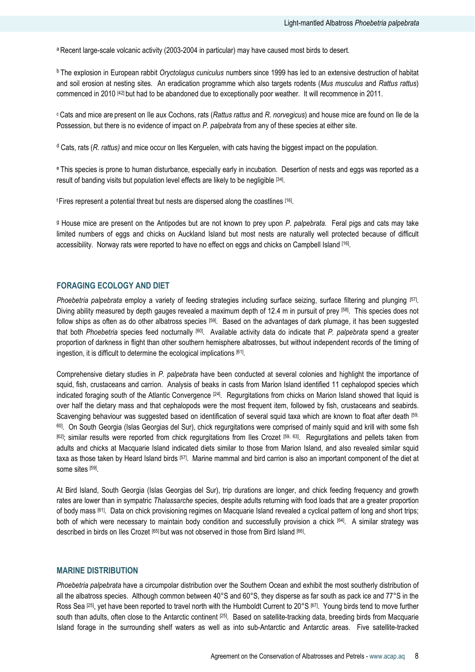a Recent large-scale volcanic activity (2003-2004 in particular) may have caused most birds to desert.

<sup>b</sup> The explosion in European rabbit Oryctolagus cuniculus numbers since 1999 has led to an extensive destruction of habitat and soil erosion at nesting sites. An eradication programme which also targets rodents (Mus musculus and Rattus rattus) commenced in 2010 [42] but had to be abandoned due to exceptionally poor weather. It will recommence in 2011.

<sup>c</sup> Cats and mice are present on Ile aux Cochons, rats (Rattus rattus and R. norvegicus) and house mice are found on Ile de la Possession, but there is no evidence of impact on P. palpebrata from any of these species at either site.

<sup>d</sup> Cats, rats (R. rattus) and mice occur on Iles Kerguelen, with cats having the biggest impact on the population.

e This species is prone to human disturbance, especially early in incubation. Desertion of nests and eggs was reported as a result of banding visits but population level effects are likely to be negligible [34].

fFires represent a potential threat but nests are dispersed along the coastlines [16].

<sup>g</sup> House mice are present on the Antipodes but are not known to prey upon P. palpebrata. Feral pigs and cats may take limited numbers of eggs and chicks on Auckland Island but most nests are naturally well protected because of difficult accessibility. Norway rats were reported to have no effect on eggs and chicks on Campbell Island [16].

## FORAGING ECOLOGY AND DIET

Phoebetria palpebrata employ a variety of feeding strategies including surface seizing, surface filtering and plunging [57]. Diving ability measured by depth gauges revealed a maximum depth of 12.4 m in pursuit of prey [58]. This species does not follow ships as often as do other albatross species [59]. Based on the advantages of dark plumage, it has been suggested that both Phoebetria species feed nocturnally [60]. Available activity data do indicate that P. palpebrata spend a greater proportion of darkness in flight than other southern hemisphere albatrosses, but without independent records of the timing of ingestion, it is difficult to determine the ecological implications [61] .

Comprehensive dietary studies in P. palpebrata have been conducted at several colonies and highlight the importance of squid, fish, crustaceans and carrion. Analysis of beaks in casts from Marion Island identified 11 cephalopod species which indicated foraging south of the Atlantic Convergence [24]. Regurgitations from chicks on Marion Island showed that liquid is over half the dietary mass and that cephalopods were the most frequent item, followed by fish, crustaceans and seabirds. Scavenging behaviour was suggested based on identification of several squid taxa which are known to float after death [59, <sup>60]</sup>. On South Georgia (Islas Georgias del Sur), chick regurgitations were comprised of mainly squid and krill with some fish [62]; similar results were reported from chick regurgitations from Iles Crozet [59, 63]. Regurgitations and pellets taken from adults and chicks at Macquarie Island indicated diets similar to those from Marion Island, and also revealed similar squid taxa as those taken by Heard Island birds [57]. Marine mammal and bird carrion is also an important component of the diet at some sites [59] .

At Bird Island, South Georgia (Islas Georgias del Sur), trip durations are longer, and chick feeding frequency and growth rates are lower than in sympatric Thalassarche species, despite adults returning with food loads that are a greater proportion of body mass [61]. Data on chick provisioning regimes on Macquarie Island revealed a cyclical pattern of long and short trips; both of which were necessary to maintain body condition and successfully provision a chick [64]. A similar strategy was described in birds on Iles Crozet [65] but was not observed in those from Bird Island [66].

#### MARINE DISTRIBUTION

Phoebetria palpebrata have a circumpolar distribution over the Southern Ocean and exhibit the most southerly distribution of all the albatross species. Although common between 40°S and 60°S, they disperse as far south as pack ice and 77°S in the Ross Sea [25], yet have been reported to travel north with the Humboldt Current to 20°S [67]. Young birds tend to move further south than adults, often close to the Antarctic continent <sup>[25]</sup>. Based on satellite-tracking data, breeding birds from Macquarie Island forage in the surrounding shelf waters as well as into sub-Antarctic and Antarctic areas. Five satellite-tracked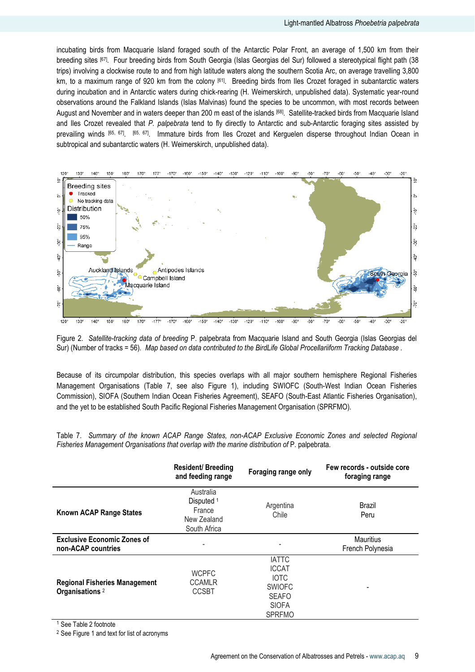incubating birds from Macquarie Island foraged south of the Antarctic Polar Front, an average of 1,500 km from their breeding sites [67]. Four breeding birds from South Georgia (Islas Georgias del Sur) followed a stereotypical flight path (38 trips) involving a clockwise route to and from high latitude waters along the southern Scotia Arc, on average travelling 3,800 km, to a maximum range of 920 km from the colony [61]. Breeding birds from Iles Crozet foraged in subantarctic waters during incubation and in Antarctic waters during chick-rearing (H. Weimerskirch, unpublished data). Systematic year-round observations around the Falkland Islands (Islas Malvinas) found the species to be uncommon, with most records between August and November and in waters deeper than 200 m east of the islands [68]. Satellite-tracked birds from Macquarie Island and Iles Crozet revealed that P. palpebrata tend to fly directly to Antarctic and sub-Antarctic foraging sites assisted by prevailing winds <sup>[65, 67]</sup>. <sup>[65, 67]</sup>. Immature birds from Iles Crozet and Kerguelen disperse throughout Indian Ocean in subtropical and subantarctic waters (H. Weimerskirch, unpublished data).



Figure 2. Satellite-tracking data of breeding P. palpebrata from Macquarie Island and South Georgia (Islas Georgias del Sur) (Number of tracks = 56). Map based on data contributed to the BirdLife Global Procellariiform Tracking Database .

Because of its circumpolar distribution, this species overlaps with all major southern hemisphere Regional Fisheries Management Organisations (Table 7, see also Figure 1), including SWIOFC (South-West Indian Ocean Fisheries Commission), SIOFA (Southern Indian Ocean Fisheries Agreement), SEAFO (South-East Atlantic Fisheries Organisation), and the yet to be established South Pacific Regional Fisheries Management Organisation (SPRFMO).

Table 7. Summary of the known ACAP Range States, non-ACAP Exclusive Economic Zones and selected Regional Fisheries Management Organisations that overlap with the marine distribution of P. palpebrata.

|                                                                    | <b>Resident/Breeding</b><br>and feeding range                               | Foraging range only                                                                                           | Few records - outside core<br>foraging range |
|--------------------------------------------------------------------|-----------------------------------------------------------------------------|---------------------------------------------------------------------------------------------------------------|----------------------------------------------|
| Known ACAP Range States                                            | Australia<br>Disputed <sup>1</sup><br>France<br>New Zealand<br>South Africa | Argentina<br>Chile                                                                                            | Brazil<br>Peru                               |
| <b>Exclusive Economic Zones of</b><br>non-ACAP countries           | ٠                                                                           | $\overline{\phantom{a}}$                                                                                      | Mauritius<br>French Polynesia                |
| <b>Regional Fisheries Management</b><br>Organisations <sup>2</sup> | <b>WCPFC</b><br><b>CCAMLR</b><br><b>CCSBT</b>                               | <b>IATTC</b><br><b>ICCAT</b><br><b>IOTC</b><br><b>SWIOFC</b><br><b>SEAFO</b><br><b>SIOFA</b><br><b>SPRFMO</b> |                                              |

 $1$  See Table 2 footnote

<sup>2</sup> See Figure 1 and text for list of acronyms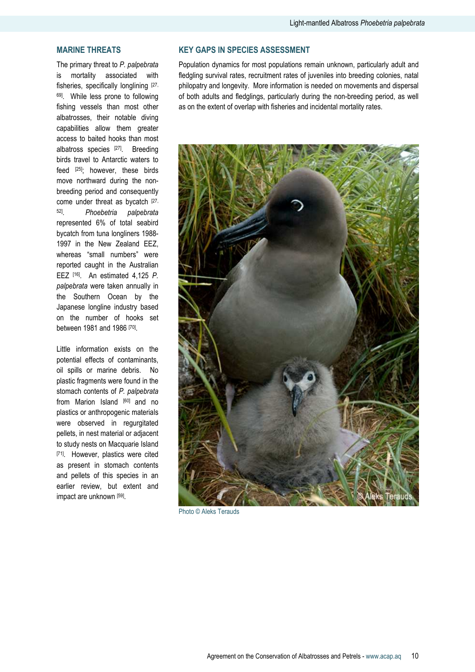# MARINE THREATS

The primary threat to P. palpebrata is mortality associated with fisheries, specifically longlining [27, 69]. While less prone to following fishing vessels than most other albatrosses, their notable diving capabilities allow them greater access to baited hooks than most albatross species [27]. Breeding birds travel to Antarctic waters to feed [25]; however, these birds move northward during the nonbreeding period and consequently come under threat as bycatch [27, 52] . Phoebetria palpebrata represented 6% of total seabird bycatch from tuna longliners 1988- 1997 in the New Zealand EEZ, whereas "small numbers" were reported caught in the Australian EEZ [16]. An estimated 4,125 P. palpebrata were taken annually in the Southern Ocean by the Japanese longline industry based on the number of hooks set between 1981 and 1986 [70].

Little information exists on the potential effects of contaminants, oil spills or marine debris. No plastic fragments were found in the stomach contents of P. palpebrata from Marion Island [60] and no plastics or anthropogenic materials were observed in regurgitated pellets, in nest material or adjacent to study nests on Macquarie Island [71]. However, plastics were cited as present in stomach contents and pellets of this species in an earlier review, but extent and impact are unknown [59] .

# KEY GAPS IN SPECIES ASSESSMENT

Population dynamics for most populations remain unknown, particularly adult and fledgling survival rates, recruitment rates of juveniles into breeding colonies, natal philopatry and longevity. More information is needed on movements and dispersal of both adults and fledglings, particularly during the non-breeding period, as well as on the extent of overlap with fisheries and incidental mortality rates.



Photo © Aleks Terauds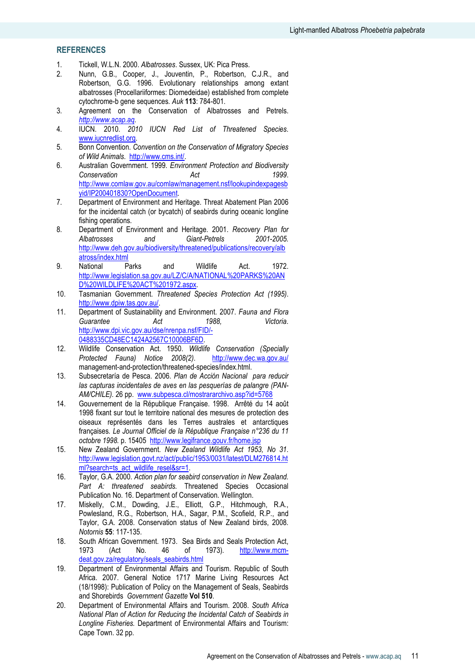## **REFERENCES**

- 1. Tickell, W.L.N. 2000. Albatrosses. Sussex, UK: Pica Press.
- 2. Nunn, G.B., Cooper, J., Jouventin, P., Robertson, C.J.R., and Robertson, G.G. 1996. Evolutionary relationships among extant albatrosses (Procellariiformes: Diomedeidae) established from complete cytochrome-b gene sequences. Auk 113: 784-801.
- 3. Agreement on the Conservation of Albatrosses and Petrels. http://www.acap.aq.
- 4. IUCN. 2010. 2010 IUCN Red List of Threatened Species. www.iucnredlist.org.
- 5. Bonn Convention. Convention on the Conservation of Migratory Species of Wild Animals. http://www.cms.int/.
- 6. Australian Government. 1999. Environment Protection and Biodiversity Conservation and Act and 1999. http://www.comlaw.gov.au/comlaw/management.nsf/lookupindexpagesb yid/IP200401830?OpenDocument.
- 7. Department of Environment and Heritage. Threat Abatement Plan 2006 for the incidental catch (or bycatch) of seabirds during oceanic longline fishing operations.
- 8. Department of Environment and Heritage. 2001. Recovery Plan for Albatrosses and Giant-Petrels 2001-2005. http://www.deh.gov.au/biodiversity/threatened/publications/recovery/alb atross/index.html
- 9. National Parks and Wildlife Act. 1972. http://www.legislation.sa.gov.au/LZ/C/A/NATIONAL%20PARKS%20AN D%20WILDLIFE%20ACT%201972.aspx.
- 10. Tasmanian Government. Threatened Species Protection Act (1995). http://www.dpiw.tas.gov.au/.
- 11. Department of Sustainability and Environment. 2007. Fauna and Flora Guarantee **Act** 1988, Victoria. http://www.dpi.vic.gov.au/dse/nrenpa.nsf/FID/- 0488335CD48EC1424A2567C10006BF6D.
- 12. Wildlife Conservation Act. 1950. Wildlife Conservation (Specially<br>Protected Fauna) Notice 2008(2). http://www.dec.wa.gov.au/ Protected Fauna) Notice 2008(2). management-and-protection/threatened-species/index.html.
- 13. Subsecretaría de Pesca. 2006. Plan de Acción Nacional para reducir las capturas incidentales de aves en las pesquerías de palangre (PAN-AM/CHILE). 26 pp. www.subpesca.cl/mostrararchivo.asp?id=5768
- 14. Gouvernement de la République Française. 1998. Arrêté du 14 août 1998 fixant sur tout le territoire national des mesures de protection des oiseaux représentés dans les Terres australes et antarctiques françaises. Le Journal Officiel de la République Française n°236 du 11 octobre 1998. p. 15405 http://www.legifrance.gouv.fr/home.jsp
- 15. New Zealand Government. New Zealand Wildlife Act 1953, No 31. http://www.legislation.govt.nz/act/public/1953/0031/latest/DLM276814.ht ml?search=ts\_act\_wildlife\_resel&sr=1.
- 16. Taylor, G.A. 2000. Action plan for seabird conservation in New Zealand. Part A: threatened seabirds. Threatened Species Occasional Publication No. 16. Department of Conservation. Wellington.
- 17. Miskelly, C.M., Dowding, J.E., Elliott, G.P., Hitchmough, R.A., Powlesland, R.G., Robertson, H.A., Sagar, P.M., Scofield, R.P., and Taylor, G.A. 2008. Conservation status of New Zealand birds, 2008. Notornis 55: 117-135.
- 18. South African Government. 1973. Sea Birds and Seals Protection Act, 1973 (Act No. 46 of 1973). http://www.mcmdeat.gov.za/regulatory/seals\_seabirds.html
- 19. Department of Environmental Affairs and Tourism. Republic of South Africa. 2007. General Notice 1717 Marine Living Resources Act (18/1998): Publication of Policy on the Management of Seals, Seabirds and Shorebirds Government Gazette Vol 510.
- 20. Department of Environmental Affairs and Tourism. 2008. South Africa National Plan of Action for Reducing the Incidental Catch of Seabirds in Longline Fisheries. Department of Environmental Affairs and Tourism: Cape Town. 32 pp.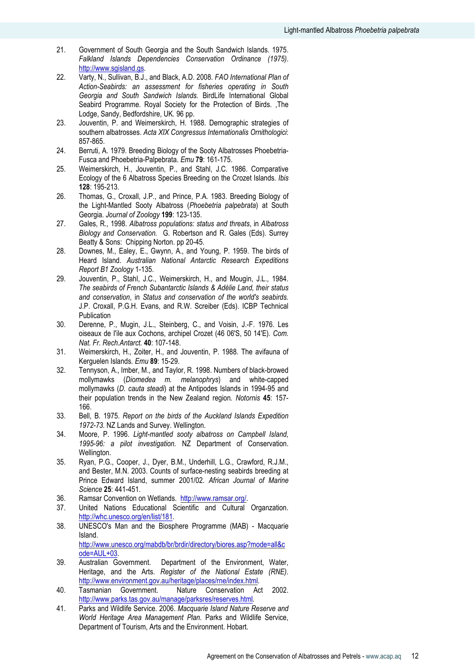- 21. Government of South Georgia and the South Sandwich Islands. 1975. Falkland Islands Dependencies Conservation Ordinance (1975). http://www.sgisland.gs.
- 22. Varty, N., Sullivan, B.J., and Black, A.D. 2008. FAO International Plan of Action-Seabirds: an assessment for fisheries operating in South Georgia and South Sandwich Islands. BirdLife International Global Seabird Programme. Royal Society for the Protection of Birds. ,The Lodge, Sandy, Bedfordshire, UK. 96 pp.
- 23. Jouventin, P. and Weimerskirch, H. 1988. Demographic strategies of southern albatrosses. Acta XIX Congressus Internationalis Ornithologici: 857-865.
- 24. Berruti, A. 1979. Breeding Biology of the Sooty Albatrosses Phoebetria-Fusca and Phoebetria-Palpebrata. Emu 79: 161-175.
- 25. Weimerskirch, H., Jouventin, P., and Stahl, J.C. 1986. Comparative Ecology of the 6 Albatross Species Breeding on the Crozet Islands. Ibis 128: 195-213.
- 26. Thomas, G., Croxall, J.P., and Prince, P.A. 1983. Breeding Biology of the Light-Mantled Sooty Albatross (Phoebetria palpebrata) at South Georgia. Journal of Zoology 199: 123-135.
- 27. Gales, R., 1998. Albatross populations: status and threats, in Albatross Biology and Conservation. G. Robertson and R. Gales (Eds). Surrey Beatty & Sons: Chipping Norton. pp 20-45.
- 28. Downes, M., Ealey, E., Gwynn, A., and Young, P. 1959. The birds of Heard Island. Australian National Antarctic Research Expeditions Report B1 Zoology 1-135.
- 29. Jouventin, P., Stahl, J.C., Weimerskirch, H., and Mougin, J.L., 1984. The seabirds of French Subantarctic Islands & Adélie Land, their status and conservation, in Status and conservation of the world's seabirds. J.P. Croxall, P.G.H. Evans, and R.W. Screiber (Eds). ICBP Technical Publication
- 30. Derenne, P., Mugin, J.L., Steinberg, C., and Voisin, J.-F. 1976. Les oiseaux de I'ile aux Cochons, archipel Crozet (46 06'S, 50 14'E). Com. Nat. Fr. Rech.Antarct. 40: 107-148.
- 31. Weimerskirch, H., Zoiter, H., and Jouventin, P. 1988. The avifauna of Kerguelen Islands. Emu 89: 15-29.
- 32. Tennyson, A., Imber, M., and Taylor, R. 1998. Numbers of black-browed mollymawks (Diomedea m. melanophrys) and white-capped mollymawks (D. cauta steadi) at the Antipodes Islands in 1994-95 and their population trends in the New Zealand region. Notornis 45: 157- 166.
- 33. Bell, B. 1975. Report on the birds of the Auckland Islands Expedition 1972-73. NZ Lands and Survey. Wellington.
- 34. Moore, P. 1996. Light-mantled sooty albatross on Campbell Island, 1995-96: a pilot investigation. NZ Department of Conservation. Wellington.
- 35. Ryan, P.G., Cooper, J., Dyer, B.M., Underhill, L.G., Crawford, R.J.M., and Bester, M.N. 2003. Counts of surface-nesting seabirds breeding at Prince Edward Island, summer 2001/02. African Journal of Marine Science 25: 441-451.
- 36. Ramsar Convention on Wetlands. http://www.ramsar.org/.
- 37. United Nations Educational Scientific and Cultural Organzation. http://whc.unesco.org/en/list/181.
- 38. UNESCO's Man and the Biosphere Programme (MAB) Macquarie Island. http://www.unesco.org/mabdb/br/brdir/directory/biores.asp?mode=all&c

ode=AUL+03.

- 39. Australian Government. Department of the Environment, Water, Heritage, and the Arts. Register of the National Estate (RNE). http://www.environment.gov.au/heritage/places/rne/index.html.<br>Tasmanian Government. Nature Conservation Ac
- 40. Tasmanian Government. Nature Conservation Act 2002. http://www.parks.tas.gov.au/manage/parksres/reserves.html.
- 41. Parks and Wildlife Service. 2006. Macquarie Island Nature Reserve and World Heritage Area Management Plan. Parks and Wildlife Service, Department of Tourism, Arts and the Environment. Hobart.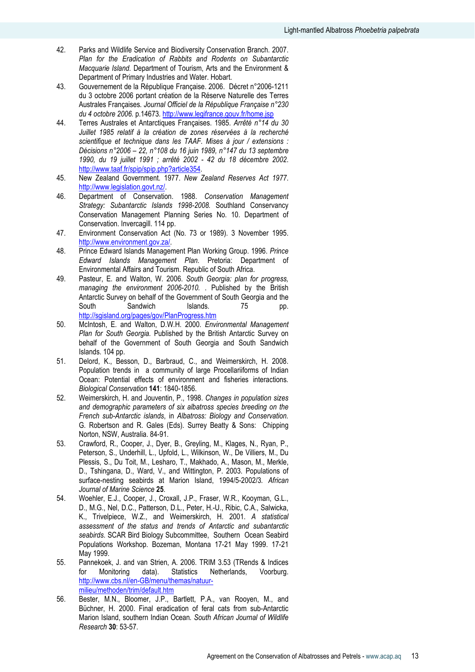- 42. Parks and Wildlife Service and Biodiversity Conservation Branch. 2007. Plan for the Eradication of Rabbits and Rodents on Subantarctic Macquarie Island. Department of Tourism. Arts and the Environment & Department of Primary Industries and Water. Hobart.
- 43. Gouvernement de la République Française. 2006. Décret n°2006-1211 du 3 octobre 2006 portant création de la Réserve Naturelle des Terres Australes Françaises. Journal Officiel de la République Française n°230 du 4 octobre 2006. p.14673. http://www.legifrance.gouv.fr/home.jsp
- 44. Terres Australes et Antarctiques Françaises. 1985. Arrêté n°14 du 30 Juillet 1985 relatif à la création de zones réservées à la recherché scientifique et technique dans les TAAF. Mises à jour / extensions : Décisions n°2006 – 22, n°108 du 16 juin 1989, n°147 du 13 septembre 1990, du 19 juillet 1991 ; arrêté 2002 - 42 du 18 décembre 2002. http://www.taaf.fr/spip/spip.php?article354.
- 45. New Zealand Government. 1977. New Zealand Reserves Act 1977. http://www.legislation.govt.nz/.
- 46. Department of Conservation. 1988. Conservation Management Strategy: Subantarctic Islands 1998-2008. Southland Conservancy Conservation Management Planning Series No. 10. Department of Conservation. Invercagill. 114 pp.
- 47. Environment Conservation Act (No. 73 or 1989). 3 November 1995. http://www.environment.gov.za/.
- 48. Prince Edward Islands Management Plan Working Group. 1996. Prince Edward Islands Management Plan. Pretoria: Department of Environmental Affairs and Tourism. Republic of South Africa.
- 49. Pasteur, E. and Walton, W. 2006. South Georgia: plan for progress, managing the environment 2006-2010. . Published by the British Antarctic Survey on behalf of the Government of South Georgia and the South Sandwich Islands. 75 pp. http://sgisland.org/pages/gov/PlanProgress.htm
- 50. McIntosh, E. and Walton, D.W.H. 2000. Environmental Management Plan for South Georgia. Published by the British Antarctic Survey on behalf of the Government of South Georgia and South Sandwich Islands. 104 pp.
- 51. Delord, K., Besson, D., Barbraud, C., and Weimerskirch, H. 2008. Population trends in a community of large Procellariiforms of Indian Ocean: Potential effects of environment and fisheries interactions. Biological Conservation 141: 1840-1856.
- 52. Weimerskirch, H. and Jouventin, P., 1998. Changes in population sizes and demographic parameters of six albatross species breeding on the French sub-Antarctic islands, in Albatross: Biology and Conservation. G. Robertson and R. Gales (Eds). Surrey Beatty & Sons: Chipping Norton, NSW, Australia. 84-91.
- 53. Crawford, R., Cooper, J., Dyer, B., Greyling, M., Klages, N., Ryan, P., Peterson, S., Underhill, L., Upfold, L., Wilkinson, W., De Villiers, M., Du Plessis, S., Du Toit, M., Lesharo, T., Makhado, A., Mason, M., Merkle, D., Tshingana, D., Ward, V., and Wittington, P. 2003. Populations of surface-nesting seabirds at Marion Island, 1994/5-2002/3. African Journal of Marine Science 25.
- 54. Woehler, E.J., Cooper, J., Croxall, J.P., Fraser, W.R., Kooyman, G.L., D., M.G., Nel, D.C., Patterson, D.L., Peter, H.-U., Ribic, C.A., Salwicka, K., Trivelpiece, W.Z., and Weimerskirch, H. 2001. A statistical assessment of the status and trends of Antarctic and subantarctic seabirds. SCAR Bird Biology Subcommittee, Southern Ocean Seabird Populations Workshop. Bozeman, Montana 17-21 May 1999. 17-21 May 1999.
- 55. Pannekoek, J. and van Strien, A. 2006. TRIM 3.53 (TRends & Indices for Monitoring data). Statistics Netherlands, Voorburg. http://www.cbs.nl/en-GB/menu/themas/natuurmilieu/methoden/trim/default.htm
- 56. Bester, M.N., Bloomer, J.P., Bartlett, P.A., van Rooyen, M., and Büchner, H. 2000. Final eradication of feral cats from sub-Antarctic Marion Island, southern Indian Ocean. South African Journal of Wildlife Research 30: 53-57.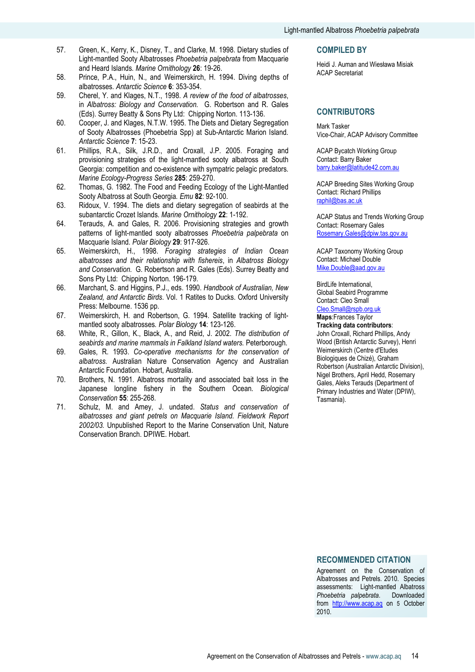- 57. Green, K., Kerry, K., Disney, T., and Clarke, M. 1998. Dietary studies of Light-mantled Sooty Albatrosses Phoebetria palpebrata from Macquarie and Heard Islands. Marine Ornithology 26: 19-26.
- 58. Prince, P.A., Huin, N., and Weimerskirch, H. 1994. Diving depths of albatrosses. Antarctic Science 6: 353-354.
- 59. Cherel, Y. and Klages, N.T., 1998. A review of the food of albatrosses, in Albatross: Biology and Conservation. G. Robertson and R. Gales (Eds). Surrey Beatty & Sons Pty Ltd: Chipping Norton. 113-136.
- 60. Cooper, J. and Klages, N.T.W. 1995. The Diets and Dietary Segregation of Sooty Albatrosses (Phoebetria Spp) at Sub-Antarctic Marion Island. Antarctic Science 7: 15-23.
- 61. Phillips, R.A., Silk, J.R.D., and Croxall, J.P. 2005. Foraging and provisioning strategies of the light-mantled sooty albatross at South Georgia: competition and co-existence with sympatric pelagic predators. Marine Ecology-Progress Series 285: 259-270.
- 62. Thomas, G. 1982. The Food and Feeding Ecology of the Light-Mantled Sooty Albatross at South Georgia. Emu 82: 92-100.
- 63. Ridoux, V. 1994. The diets and dietary segregation of seabirds at the subantarctic Crozet Islands. Marine Ornithology 22: 1-192.
- 64. Terauds, A. and Gales, R. 2006. Provisioning strategies and growth patterns of light-mantled sooty albatrosses Phoebetria palpebrata on Macquarie Island. Polar Biology 29: 917-926.
- 65. Weimerskirch, H., 1998. Foraging strategies of Indian Ocean albatrosses and their relationship with fishereis, in Albatross Biology and Conservation. G. Robertson and R. Gales (Eds). Surrey Beatty and Sons Pty Ltd: Chipping Norton. 196-179.
- 66. Marchant, S. and Higgins, P.J., eds. 1990. Handbook of Australian, New Zealand, and Antarctic Birds. Vol. 1 Ratites to Ducks. Oxford University Press: Melbourne. 1536 pp.
- 67. Weimerskirch, H. and Robertson, G. 1994. Satellite tracking of lightmantled sooty albatrosses. Polar Biology 14: 123-126.
- 68. White, R., Gillon, K., Black, A., and Reid, J. 2002. The distribution of seabirds and marine mammals in Falkland Island waters. Peterborough.
- 69. Gales, R. 1993. Co-operative mechanisms for the conservation of albatross. Australian Nature Conservation Agency and Australian Antarctic Foundation. Hobart, Australia.
- 70. Brothers, N. 1991. Albatross mortality and associated bait loss in the Japanese longline fishery in the Southern Ocean. Biological Conservation 55: 255-268.
- 71. Schulz, M. and Amey, J. undated. Status and conservation of albatrosses and giant petrels on Macquarie Island. Fieldwork Report 2002/03. Unpublished Report to the Marine Conservation Unit, Nature Conservation Branch. DPIWE. Hobart.

#### COMPILED BY

Heidi J. Auman and Wiesława Misiak ACAP Secretariat

## **CONTRIBUTORS**

Mark Tasker Vice-Chair, ACAP Advisory Committee

ACAP Bycatch Working Group Contact: Barry Baker barry.baker@latitude42.com.au

ACAP Breeding Sites Working Group Contact: Richard Phillips raphil@bas.ac.uk

ACAP Status and Trends Working Group Contact: Rosemary Gales Rosemary.Gales@dpiw.tas.gov.au

ACAP Taxonomy Working Group Contact: Michael Double Mike.Double@aad.gov.au

BirdLife International, Global Seabird Programme Contact: Cleo Small Cleo.Small@rspb.org.uk Maps:Frances Taylor

# Tracking data contributors:

John Croxall, Richard Phillips, Andy Wood (British Antarctic Survey), Henri Weimerskirch (Centre d'Etudes Biologiques de Chizé), Graham Robertson (Australian Antarctic Division), Nigel Brothers, April Hedd, Rosemary Gales, Aleks Terauds (Department of Primary Industries and Water (DPIW), Tasmania).

#### RECOMMENDED CITATION

Agreement on the Conservation of Albatrosses and Petrels. 2010. Species assessments: Light-mantled Albatross Phoebetria palpebrata. Downloaded from http://www.acap.aq on 5 October 2010.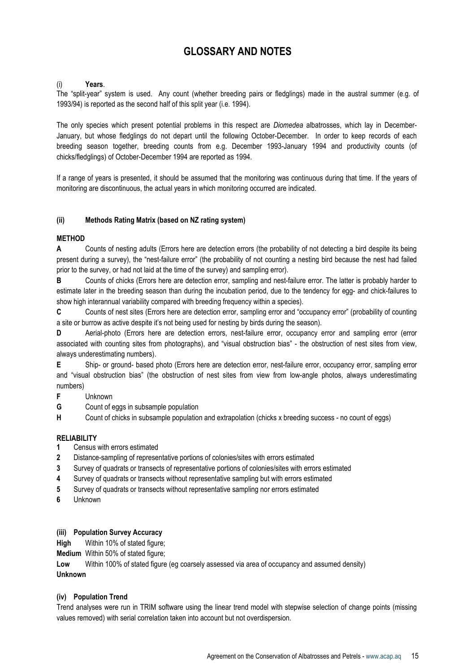# GLOSSARY AND NOTES

## (i) Years.

The "split-year" system is used. Any count (whether breeding pairs or fledglings) made in the austral summer (e.g. of 1993/94) is reported as the second half of this split year (i.e. 1994).

The only species which present potential problems in this respect are *Diomedea* albatrosses, which lay in December-January, but whose fledglings do not depart until the following October-December. In order to keep records of each breeding season together, breeding counts from e.g. December 1993-January 1994 and productivity counts (of chicks/fledglings) of October-December 1994 are reported as 1994.

If a range of years is presented, it should be assumed that the monitoring was continuous during that time. If the years of monitoring are discontinuous, the actual years in which monitoring occurred are indicated.

## (ii) Methods Rating Matrix (based on NZ rating system)

## **MFTHOD**

A Counts of nesting adults (Errors here are detection errors (the probability of not detecting a bird despite its being present during a survey), the "nest-failure error" (the probability of not counting a nesting bird because the nest had failed prior to the survey, or had not laid at the time of the survey) and sampling error).

B Counts of chicks (Errors here are detection error, sampling and nest-failure error. The latter is probably harder to estimate later in the breeding season than during the incubation period, due to the tendency for egg- and chick-failures to show high interannual variability compared with breeding frequency within a species).

C Counts of nest sites (Errors here are detection error, sampling error and "occupancy error" (probability of counting a site or burrow as active despite it's not being used for nesting by birds during the season).

D Aerial-photo (Errors here are detection errors, nest-failure error, occupancy error and sampling error (error associated with counting sites from photographs), and "visual obstruction bias" - the obstruction of nest sites from view, always underestimating numbers).

E Ship- or ground- based photo (Errors here are detection error, nest-failure error, occupancy error, sampling error and "visual obstruction bias" (the obstruction of nest sites from view from low-angle photos, always underestimating numbers)

- F Unknown
- G Count of eggs in subsample population
- H Count of chicks in subsample population and extrapolation (chicks x breeding success no count of eggs)

## **RELIABILITY**

- 1 Census with errors estimated
- 2 Distance-sampling of representative portions of colonies/sites with errors estimated
- 3 Survey of quadrats or transects of representative portions of colonies/sites with errors estimated
- 4 Survey of quadrats or transects without representative sampling but with errors estimated
- 5 Survey of quadrats or transects without representative sampling nor errors estimated
- 6 Unknown

#### (iii) Population Survey Accuracy

High Within 10% of stated figure;

Medium Within 50% of stated figure;

Low Within 100% of stated figure (eg coarsely assessed via area of occupancy and assumed density) Unknown

#### (iv) Population Trend

Trend analyses were run in TRIM software using the linear trend model with stepwise selection of change points (missing values removed) with serial correlation taken into account but not overdispersion.